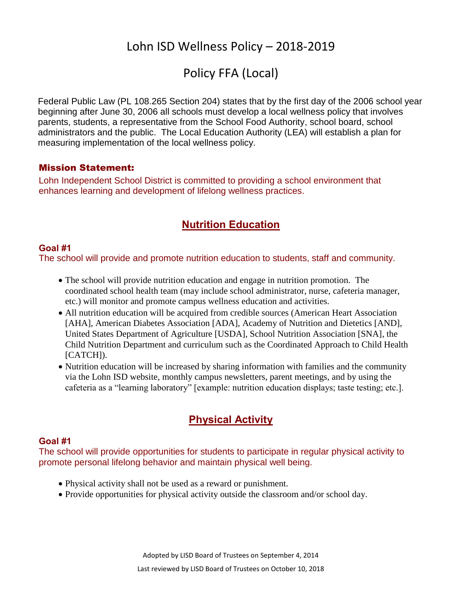# Policy FFA (Local)

Federal Public Law (PL 108.265 Section 204) states that by the first day of the 2006 school year beginning after June 30, 2006 all schools must develop a local wellness policy that involves parents, students, a representative from the School Food Authority, school board, school administrators and the public. The Local Education Authority (LEA) will establish a plan for measuring implementation of the local wellness policy.

### Mission Statement:

Lohn Independent School District is committed to providing a school environment that enhances learning and development of lifelong wellness practices.

## **Nutrition Education**

### **Goal #1**

The school will provide and promote nutrition education to students, staff and community.

- The school will provide nutrition education and engage in nutrition promotion. The coordinated school health team (may include school administrator, nurse, cafeteria manager, etc.) will monitor and promote campus wellness education and activities.
- All nutrition education will be acquired from credible sources (American Heart Association [AHA], American Diabetes Association [ADA], Academy of Nutrition and Dietetics [AND], United States Department of Agriculture [USDA], School Nutrition Association [SNA], the Child Nutrition Department and curriculum such as the Coordinated Approach to Child Health [CATCH]).
- Nutrition education will be increased by sharing information with families and the community via the Lohn ISD website, monthly campus newsletters, parent meetings, and by using the cafeteria as a "learning laboratory" [example: nutrition education displays; taste testing; etc.].

## **Physical Activity**

### **Goal #1**

The school will provide opportunities for students to participate in regular physical activity to promote personal lifelong behavior and maintain physical well being.

- Physical activity shall not be used as a reward or punishment.
- Provide opportunities for physical activity outside the classroom and/or school day.

Adopted by LISD Board of Trustees on September 4, 2014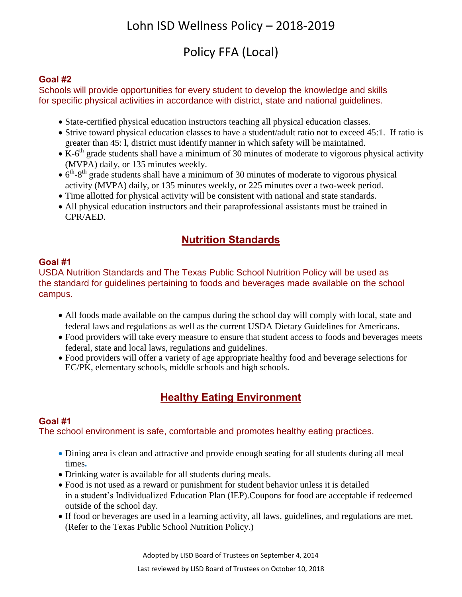## Policy FFA (Local)

#### **Goal #2**

Schools will provide opportunities for every student to develop the knowledge and skills for specific physical activities in accordance with district, state and national guidelines.

- State-certified physical education instructors teaching all physical education classes.
- Strive toward physical education classes to have a student/adult ratio not to exceed 45:1. If ratio is greater than 45: l, district must identify manner in which safety will be maintained.
- $\bullet$  K-6<sup>th</sup> grade students shall have a minimum of 30 minutes of moderate to vigorous physical activity (MVPA) daily, or 135 minutes weekly.
- $\bullet$  6<sup>th</sup>-8<sup>th</sup> grade students shall have a minimum of 30 minutes of moderate to vigorous physical activity (MVPA) daily, or 135 minutes weekly, or 225 minutes over a two-week period.
- Time allotted for physical activity will be consistent with national and state standards.
- All physical education instructors and their paraprofessional assistants must be trained in CPR/AED.

## **Nutrition Standards**

#### **Goal #1**

USDA Nutrition Standards and The Texas Public School Nutrition Policy will be used as the standard for guidelines pertaining to foods and beverages made available on the school campus.

- All foods made available on the campus during the school day will comply with local, state and federal laws and regulations as well as the current USDA Dietary Guidelines for Americans.
- Food providers will take every measure to ensure that student access to foods and beverages meets federal, state and local laws, regulations and guidelines.
- Food providers will offer a variety of age appropriate healthy food and beverage selections for EC/PK, elementary schools, middle schools and high schools.

## **Healthy Eating Environment**

### **Goal #1**

The school environment is safe, comfortable and promotes healthy eating practices.

- Dining area is clean and attractive and provide enough seating for all students during all meal times**.**
- Drinking water is available for all students during meals.
- Food is not used as a reward or punishment for student behavior unless it is detailed in a student's Individualized Education Plan (IEP).Coupons for food are acceptable if redeemed outside of the school day.
- If food or beverages are used in a learning activity, all laws, guidelines, and regulations are met. (Refer to the Texas Public School Nutrition Policy.)

Adopted by LISD Board of Trustees on September 4, 2014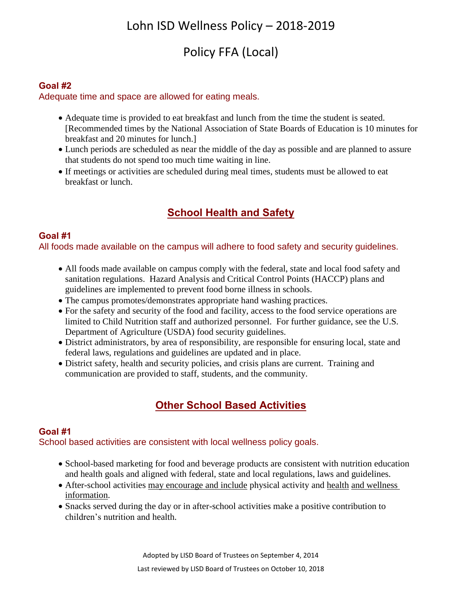Policy FFA (Local)

#### **Goal #2**

#### Adequate time and space are allowed for eating meals.

- Adequate time is provided to eat breakfast and lunch from the time the student is seated. [Recommended times by the National Association of State Boards of Education is 10 minutes for breakfast and 20 minutes for lunch.]
- Lunch periods are scheduled as near the middle of the day as possible and are planned to assure that students do not spend too much time waiting in line.
- If meetings or activities are scheduled during meal times, students must be allowed to eat breakfast or lunch.

### **School Health and Safety**

#### **Goal #1**

All foods made available on the campus will adhere to food safety and security guidelines.

- All foods made available on campus comply with the federal, state and local food safety and sanitation regulations. Hazard Analysis and Critical Control Points (HACCP) plans and guidelines are implemented to prevent food borne illness in schools.
- The campus promotes/demonstrates appropriate hand washing practices.
- For the safety and security of the food and facility, access to the food service operations are limited to Child Nutrition staff and authorized personnel. For further guidance, see the U.S. Department of Agriculture (USDA) food security guidelines.
- District administrators, by area of responsibility, are responsible for ensuring local, state and federal laws, regulations and guidelines are updated and in place.
- District safety, health and security policies, and crisis plans are current. Training and communication are provided to staff, students, and the community.

### **Other School Based Activities**

#### **Goal #1**

School based activities are consistent with local wellness policy goals.

- School-based marketing for food and beverage products are consistent with nutrition education and health goals and aligned with federal, state and local regulations, laws and guidelines.
- After-school activities may encourage and include physical activity and health and wellness information.
- Snacks served during the day or in after-school activities make a positive contribution to children's nutrition and health.